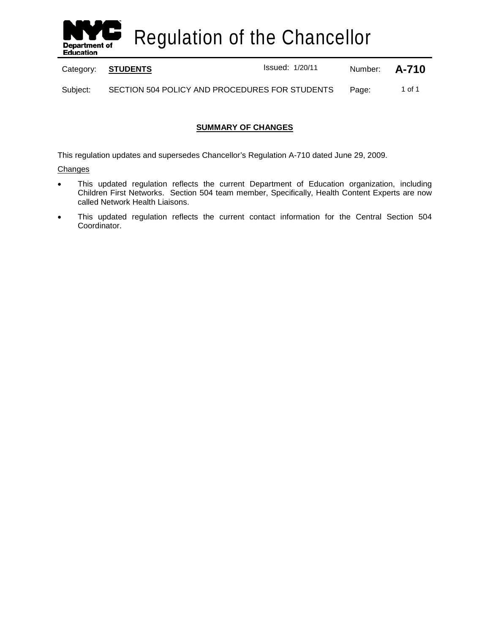

Regulation of the Chancellor

Category: **STUDENTS ISSUED:** Issued: 1/20/11 Mumber: **A-710** 

Subject: SECTION 504 POLICY AND PROCEDURES FOR STUDENTS Page: 1 of 1

# **SUMMARY OF CHANGES**

This regulation updates and supersedes Chancellor's Regulation A-710 dated June 29, 2009.

**Changes** 

- This updated regulation reflects the current Department of Education organization, including Children First Networks. Section 504 team member, Specifically, Health Content Experts are now called Network Health Liaisons.
- This updated regulation reflects the current contact information for the Central Section 504 Coordinator.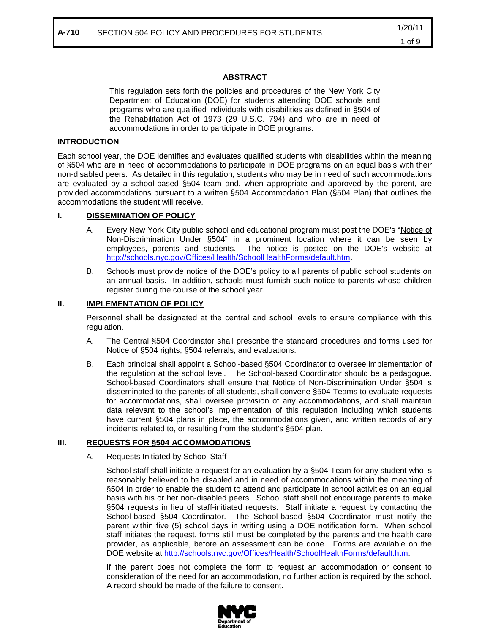# **ABSTRACT**

This regulation sets forth the policies and procedures of the New York City Department of Education (DOE) for students attending DOE schools and programs who are qualified individuals with disabilities as defined in §504 of the Rehabilitation Act of 1973 (29 U.S.C. 794) and who are in need of accommodations in order to participate in DOE programs.

## **INTRODUCTION**

Each school year, the DOE identifies and evaluates qualified students with disabilities within the meaning of §504 who are in need of accommodations to participate in DOE programs on an equal basis with their non-disabled peers. As detailed in this regulation, students who may be in need of such accommodations are evaluated by a school-based §504 team and, when appropriate and approved by the parent, are provided accommodations pursuant to a written §504 Accommodation Plan (§504 Plan) that outlines the accommodations the student will receive.

### **I. DISSEMINATION OF POLICY**

- A. Every New York City public school and educational program must post the DOE's "Notice of Non-Discrimination Under §504" in a prominent location where it can be seen by employees, parents and students. The notice is posted on the DOE's website at [http://schools.nyc.gov/Offices/Health/SchoolHealthForms/default.htm.](http://schools.nyc.gov/Offices/Health/SchoolHealthForms/default.htm)
- B. Schools must provide notice of the DOE's policy to all parents of public school students on an annual basis. In addition, schools must furnish such notice to parents whose children register during the course of the school year.

### **II. IMPLEMENTATION OF POLICY**

Personnel shall be designated at the central and school levels to ensure compliance with this regulation.

- A. The Central §504 Coordinator shall prescribe the standard procedures and forms used for Notice of §504 rights, §504 referrals, and evaluations.
- B. Each principal shall appoint a School-based §504 Coordinator to oversee implementation of the regulation at the school level. The School-based Coordinator should be a pedagogue. School-based Coordinators shall ensure that Notice of Non-Discrimination Under §504 is disseminated to the parents of all students, shall convene §504 Teams to evaluate requests for accommodations, shall oversee provision of any accommodations, and shall maintain data relevant to the school's implementation of this regulation including which students have current §504 plans in place, the accommodations given, and written records of any incidents related to, or resulting from the student's §504 plan.

### **III. REQUESTS FOR §504 ACCOMMODATIONS**

A. Requests Initiated by School Staff

School staff shall initiate a request for an evaluation by a §504 Team for any student who is reasonably believed to be disabled and in need of accommodations within the meaning of §504 in order to enable the student to attend and participate in school activities on an equal basis with his or her non-disabled peers. School staff shall not encourage parents to make §504 requests in lieu of staff-initiated requests. Staff initiate a request by contacting the School-based §504 Coordinator. The School-based §504 Coordinator must notify the parent within five (5) school days in writing using a DOE notification form. When school staff initiates the request, forms still must be completed by the parents and the health care provider, as applicable, before an assessment can be done. Forms are available on the DOE website at [http://schools.nyc.gov/Offices/Health/SchoolHealthForms/default.htm.](http://schools.nyc.gov/Offices/Health/SchoolHealthForms/default.htm)

If the parent does not complete the form to request an accommodation or consent to consideration of the need for an accommodation, no further action is required by the school. A record should be made of the failure to consent.

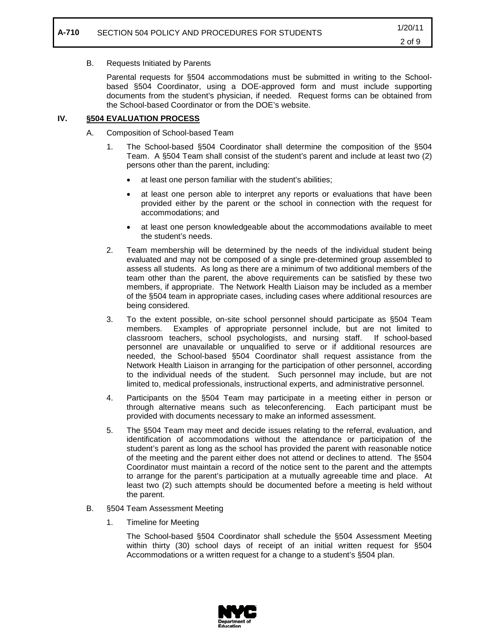## B. Requests Initiated by Parents

Parental requests for §504 accommodations must be submitted in writing to the Schoolbased §504 Coordinator, using a DOE-approved form and must include supporting documents from the student's physician, if needed. Request forms can be obtained from the School-based Coordinator or from the DOE's website.

### **IV. §504 EVALUATION PROCESS**

- A. Composition of School-based Team
	- 1. The School-based §504 Coordinator shall determine the composition of the §504 Team. A §504 Team shall consist of the student's parent and include at least two (2) persons other than the parent, including:
		- at least one person familiar with the student's abilities;
		- at least one person able to interpret any reports or evaluations that have been provided either by the parent or the school in connection with the request for accommodations; and
		- at least one person knowledgeable about the accommodations available to meet the student's needs.
	- 2. Team membership will be determined by the needs of the individual student being evaluated and may not be composed of a single pre-determined group assembled to assess all students. As long as there are a minimum of two additional members of the team other than the parent, the above requirements can be satisfied by these two members, if appropriate. The Network Health Liaison may be included as a member of the §504 team in appropriate cases, including cases where additional resources are being considered.
	- 3. To the extent possible, on-site school personnel should participate as §504 Team members. Examples of appropriate personnel include, but are not limited to classroom teachers, school psychologists, and nursing staff. If school-based personnel are unavailable or unqualified to serve or if additional resources are needed, the School-based §504 Coordinator shall request assistance from the Network Health Liaison in arranging for the participation of other personnel, according to the individual needs of the student. Such personnel may include, but are not limited to, medical professionals, instructional experts, and administrative personnel.
	- 4. Participants on the §504 Team may participate in a meeting either in person or through alternative means such as teleconferencing. Each participant must be provided with documents necessary to make an informed assessment.
	- 5. The §504 Team may meet and decide issues relating to the referral, evaluation, and identification of accommodations without the attendance or participation of the student's parent as long as the school has provided the parent with reasonable notice of the meeting and the parent either does not attend or declines to attend. The §504 Coordinator must maintain a record of the notice sent to the parent and the attempts to arrange for the parent's participation at a mutually agreeable time and place. At least two (2) such attempts should be documented before a meeting is held without the parent.
- B. §504 Team Assessment Meeting
	- 1. Timeline for Meeting

The School-based §504 Coordinator shall schedule the §504 Assessment Meeting within thirty (30) school days of receipt of an initial written request for §504 Accommodations or a written request for a change to a student's §504 plan.

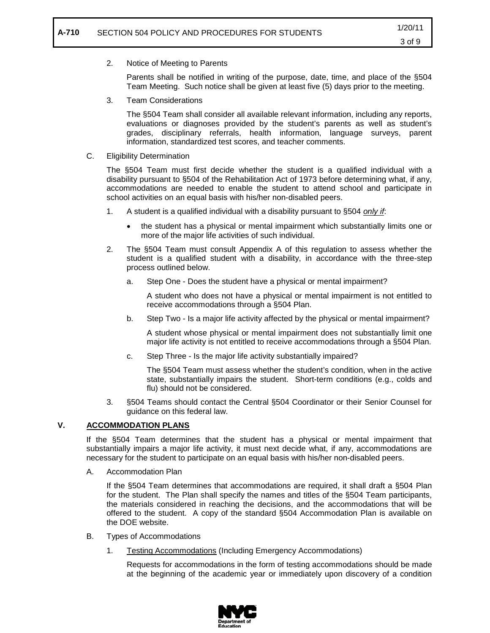# 2. Notice of Meeting to Parents

Parents shall be notified in writing of the purpose, date, time, and place of the §504 Team Meeting. Such notice shall be given at least five (5) days prior to the meeting.

3. Team Considerations

The §504 Team shall consider all available relevant information, including any reports, evaluations or diagnoses provided by the student's parents as well as student's grades, disciplinary referrals, health information, language surveys, parent information, standardized test scores, and teacher comments.

C. Eligibility Determination

The §504 Team must first decide whether the student is a qualified individual with a disability pursuant to §504 of the Rehabilitation Act of 1973 before determining what, if any, accommodations are needed to enable the student to attend school and participate in school activities on an equal basis with his/her non-disabled peers.

- 1. A student is a qualified individual with a disability pursuant to §504 *only if* :
	- the student has a physical or mental impairment which substantially limits one or more of the major life activities of such individual.
- 2. The §504 Team must consult Appendix A of this regulation to assess whether the student is a qualified student with a disability, in accordance with the three-step process outlined below.
	- a. Step One Does the student have a physical or mental impairment?

A student who does not have a physical or mental impairment is not entitled to receive accommodations through a §504 Plan.

b. Step Two - Is a major life activity affected by the physical or mental impairment?

A student whose physical or mental impairment does not substantially limit one major life activity is not entitled to receive accommodations through a §504 Plan.

c. Step Three - Is the major life activity substantially impaired?

The §504 Team must assess whether the student's condition, when in the active state, substantially impairs the student. Short-term conditions (e.g., colds and flu) should not be considered.

3. §504 Teams should contact the Central §504 Coordinator or their Senior Counsel for guidance on this federal law.

### **V. ACCOMMODATION PLANS**

If the §504 Team determines that the student has a physical or mental impairment that substantially impairs a major life activity, it must next decide what, if any, accommodations are necessary for the student to participate on an equal basis with his/her non-disabled peers.

A. Accommodation Plan

If the §504 Team determines that accommodations are required, it shall draft a §504 Plan for the student. The Plan shall specify the names and titles of the §504 Team participants, the materials considered in reaching the decisions, and the accommodations that will be offered to the student. A copy of the standard §504 Accommodation Plan is available on the DOE website.

- B. Types of Accommodations
	- 1. Testing Accommodations (Including Emergency Accommodations)

Requests for accommodations in the form of testing accommodations should be made at the beginning of the academic year or immediately upon discovery of a condition

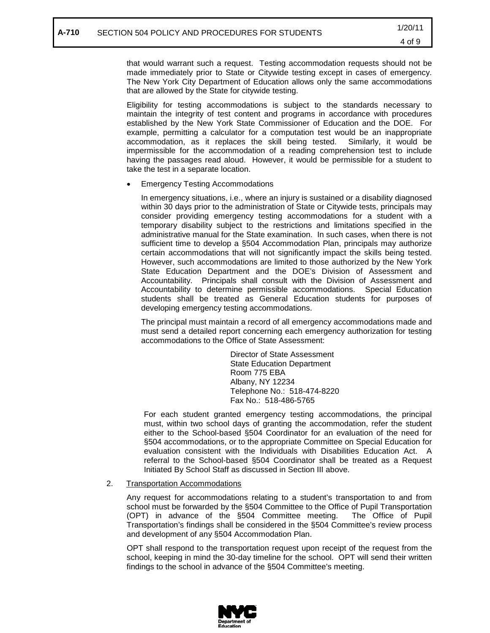that would warrant such a request. Testing accommodation requests should not be made immediately prior to State or Citywide testing except in cases of emergency. The New York City Department of Education allows only the same accommodations that are allowed by the State for citywide testing.

Eligibility for testing accommodations is subject to the standards necessary to maintain the integrity of test content and programs in accordance with procedures established by the New York State Commissioner of Education and the DOE. For example, permitting a calculator for a computation test would be an inappropriate accommodation, as it replaces the skill being tested. Similarly, it would be impermissible for the accommodation of a reading comprehension test to include having the passages read aloud. However, it would be permissible for a student to take the test in a separate location.

• Emergency Testing Accommodations

In emergency situations, i.e., where an injury is sustained or a disability diagnosed within 30 days prior to the administration of State or Citywide tests, principals may consider providing emergency testing accommodations for a student with a temporary disability subject to the restrictions and limitations specified in the administrative manual for the State examination. In such cases, when there is not sufficient time to develop a §504 Accommodation Plan, principals may authorize certain accommodations that will not significantly impact the skills being tested. However, such accommodations are limited to those authorized by the New York State Education Department and the DOE's Division of Assessment and Accountability. Principals shall consult with the Division of Assessment and Accountability to determine permissible accommodations. Special Education students shall be treated as General Education students for purposes of developing emergency testing accommodations.

The principal must maintain a record of all emergency accommodations made and must send a detailed report concerning each emergency authorization for testing accommodations to the Office of State Assessment:

> Director of State Assessment State Education Department Room 775 EBA Albany, NY 12234 Telephone No.: 518-474-8220 Fax No.: 518-486-5765

For each student granted emergency testing accommodations, the principal must, within two school days of granting the accommodation, refer the student either to the School-based §504 Coordinator for an evaluation of the need for §504 accommodations, or to the appropriate Committee on Special Education for evaluation consistent with the Individuals with Disabilities Education Act. A referral to the School-based §504 Coordinator shall be treated as a Request Initiated By School Staff as discussed in Section III above.

### 2. Transportation Accommodations

Any request for accommodations relating to a student's transportation to and from school must be forwarded by the §504 Committee to the Office of Pupil Transportation (OPT) in advance of the §504 Committee meeting. The Office of Pupil Transportation's findings shall be considered in the §504 Committee's review process and development of any §504 Accommodation Plan.

OPT shall respond to the transportation request upon receipt of the request from the school, keeping in mind the 30-day timeline for the school. OPT will send their written findings to the school in advance of the §504 Committee's meeting.

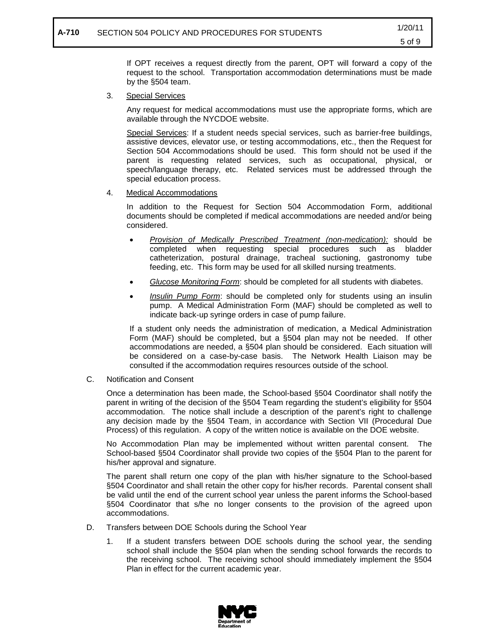If OPT receives a request directly from the parent, OPT will forward a copy of the request to the school. Transportation accommodation determinations must be made by the §504 team.

3. Special Services

> Any request for medical accommodations must use the appropriate forms, which are available through the NYCDOE website.

> Special Services: If a student needs special services, such as barrier-free buildings, assistive devices, elevator use, or testing accommodations, etc., then the Request for Section 504 Accommodations should be used. This form should not be used if the parent is requesting related services, such as occupational, physical, or speech/language therapy, etc. Related services must be addressed through the special education process.

4. Medical Accommodations

> In addition to the Request for Section 504 Accommodation Form, additional documents should be completed if medical accommodations are needed and/or being considered.

- *Provision of Medically Prescribed Treatment (non-medication):* should be completed when requesting special procedures such as bladder catheterization, postural drainage, tracheal suctioning, gastronomy tube feeding, etc. This form may be used for all skilled nursing treatments.
- *Glucose Monitoring Form* : should be completed for all students with diabetes.
- *Insulin Pump Form* : should be completed only for students using an insulin pump. A Medical Administration Form (MAF) should be completed as well to indicate back-up syringe orders in case of pump failure.

If a student only needs the administration of medication, a Medical Administration Form (MAF) should be completed, but a §504 plan may not be needed. If other accommodations are needed, a §504 plan should be considered. Each situation will be considered on a case-by-case basis. The Network Health Liaison may be consulted if the accommodation requires resources outside of the school.

C. Notification and Consent

Once a determination has been made, the School-based §504 Coordinator shall notify the parent in writing of the decision of the §504 Team regarding the student's eligibility for §504 accommodation. The notice shall include a description of the parent's right to challenge any decision made by the §504 Team, in accordance with Section VII (Procedural Due Process) of this regulation. A copy of the written notice is available on the DOE website.

No Accommodation Plan may be implemented without written parental consent. The School-based §504 Coordinator shall provide two copies of the §504 Plan to the parent for his/her approval and signature.

The parent shall return one copy of the plan with his/her signature to the School-based §504 Coordinator and shall retain the other copy for his/her records. Parental consent shall be valid until the end of the current school year unless the parent informs the School-based §504 Coordinator that s/he no longer consents to the provision of the agreed upon accommodations.

- D. Transfers between DOE Schools during the School Year
	- 1. If a student transfers between DOE schools during the school year, the sending school shall include the §504 plan when the sending school forwards the records to the receiving school. The receiving school should immediately implement the §504 Plan in effect for the current academic year.

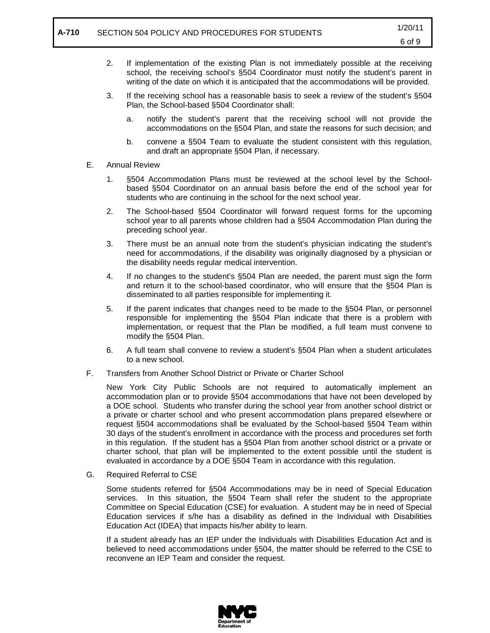- 2. If implementation of the existing Plan is not immediately possible at the receiving school, the receiving school's §504 Coordinator must notify the student's parent in writing of the date on which it is anticipated that the accommodations will be provided.
- 3. If the receiving school has a reasonable basis to seek a review of the student's §504 Plan, the School-based §504 Coordinator shall:
	- a. notify the student's parent that the receiving school will not provide the accommodations on the §504 Plan, and state the reasons for such decision; and
	- b. convene a §504 Team to evaluate the student consistent with this regulation, and draft an appropriate §504 Plan, if necessary.
- E. Annual Review
	- 1. §504 Accommodation Plans must be reviewed at the school level by the Schoolbased §504 Coordinator on an annual basis before the end of the school year for students who are continuing in the school for the next school year.
	- 2. The School-based §504 Coordinator will forward request forms for the upcoming school year to all parents whose children had a §504 Accommodation Plan during the preceding school year.
	- 3. There must be an annual note from the student's physician indicating the student's need for accommodations, if the disability was originally diagnosed by a physician or the disability needs regular medical intervention.
	- 4. If no changes to the student's §504 Plan are needed, the parent must sign the form and return it to the school-based coordinator, who will ensure that the §504 Plan is disseminated to all parties responsible for implementing it.
	- 5. If the parent indicates that changes need to be made to the §504 Plan, or personnel responsible for implementing the §504 Plan indicate that there is a problem with implementation, or request that the Plan be modified, a full team must convene to modify the §504 Plan.
	- 6. A full team shall convene to review a student's §504 Plan when a student articulates to a new school.
- F. Transfers from Another School District or Private or Charter School

New York City Public Schools are not required to automatically implement an accommodation plan or to provide §504 accommodations that have not been developed by a DOE school. Students who transfer during the school year from another school district or a private or charter school and who present accommodation plans prepared elsewhere or request §504 accommodations shall be evaluated by the School-based §504 Team within 30 days of the student's enrollment in accordance with the process and procedures set forth in this regulation. If the student has a §504 Plan from another school district or a private or charter school, that plan will be implemented to the extent possible until the student is evaluated in accordance by a DOE §504 Team in accordance with this regulation.

G. Required Referral to CSE

Some students referred for §504 Accommodations may be in need of Special Education services. In this situation, the §504 Team shall refer the student to the appropriate Committee on Special Education (CSE) for evaluation. A student may be in need of Special Education services if s/he has a disability as defined in the Individual with Disabilities Education Act (IDEA) that impacts his/her ability to learn.

If a student already has an IEP under the Individuals with Disabilities Education Act and is believed to need accommodations under §504, the matter should be referred to the CSE to reconvene an IEP Team and consider the request.

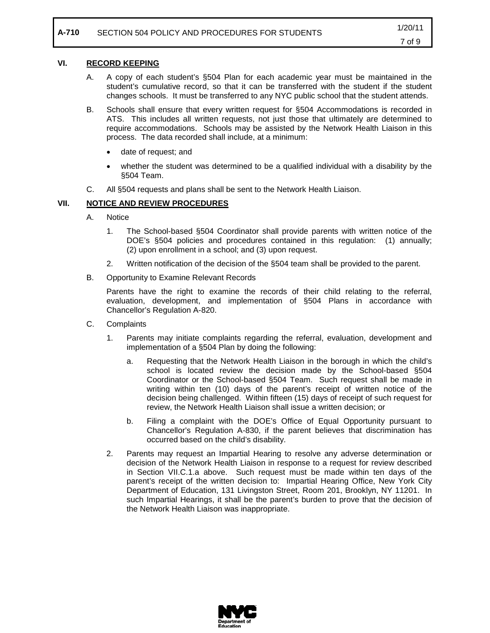### **VI. RECORD KEEPING**

- A. A copy of each student's §504 Plan for each academic year must be maintained in the student's cumulative record, so that it can be transferred with the student if the student changes schools. It must be transferred to any NYC public school that the student attends.
- B. Schools shall ensure that every written request for §504 Accommodations is recorded in ATS. This includes all written requests, not just those that ultimately are determined to require accommodations. Schools may be assisted by the Network Health Liaison in this process. The data recorded shall include, at a minimum:
	- date of request; and
	- whether the student was determined to be a qualified individual with a disability by the §504 Team.
- C. All §504 requests and plans shall be sent to the Network Health Liaison.

### **VII. NOTICE AND REVIEW PROCEDURES**

- A. Notice
	- 1. The School-based §504 Coordinator shall provide parents with written notice of the DOE's §504 policies and procedures contained in this regulation: (1) annually; (2) upon enrollment in a school; and (3) upon request.
	- 2. Written notification of the decision of the §504 team shall be provided to the parent.
- B. Opportunity to Examine Relevant Records

Parents have the right to examine the records of their child relating to the referral, evaluation, development, and implementation of §504 Plans in accordance with Chancellor's Regulation A-820.

- C. Complaints
	- 1. Parents may initiate complaints regarding the referral, evaluation, development and implementation of a §504 Plan by doing the following:
		- a. Requesting that the Network Health Liaison in the borough in which the child's school is located review the decision made by the School-based §504 Coordinator or the School-based §504 Team. Such request shall be made in writing within ten (10) days of the parent's receipt of written notice of the decision being challenged. Within fifteen (15) days of receipt of such request for review, the Network Health Liaison shall issue a written decision; or
		- b. Filing a complaint with the DOE's Office of Equal Opportunity pursuant to Chancellor's Regulation A-830, if the parent believes that discrimination has occurred based on the child's disability.
	- 2. Parents may request an Impartial Hearing to resolve any adverse determination or decision of the Network Health Liaison in response to a request for review described in Section VII.C.1.a above. Such request must be made within ten days of the parent's receipt of the written decision to: Impartial Hearing Office, New York City Department of Education, 131 Livingston Street, Room 201, Brooklyn, NY 11201. In such Impartial Hearings, it shall be the parent's burden to prove that the decision of the Network Health Liaison was inappropriate.

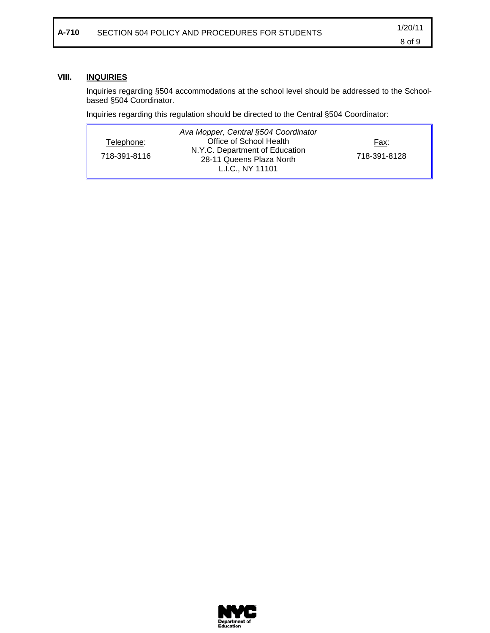### **VIII. INQUIRIES**

Inquiries regarding §504 accommodations at the school level should be addressed to the Schoolbased §504 Coordinator.

Inquiries regarding this regulation should be directed to the Central §504 Coordinator:

| Ava Mopper, Central §504 Coordinator<br>Office of School Health<br>Telephone:<br>N.Y.C. Department of Education<br>718-391-8116<br>28-11 Queens Plaza North<br>L.I.C., NY 11101 | Fax:<br>718-391-8128 |
|---------------------------------------------------------------------------------------------------------------------------------------------------------------------------------|----------------------|
|---------------------------------------------------------------------------------------------------------------------------------------------------------------------------------|----------------------|